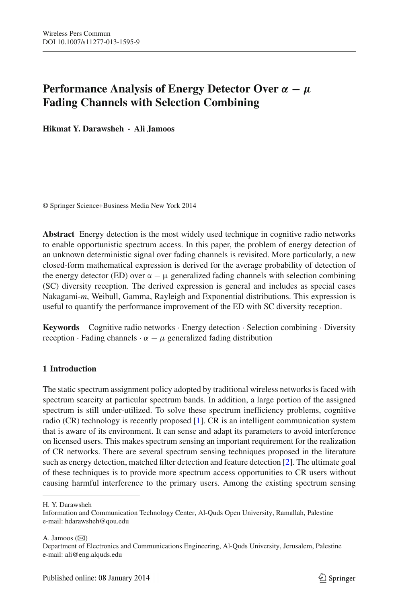# **Performance Analysis of Energy Detector Over** *α* **−** *μ* **Fading Channels with Selection Combining**

**Hikmat Y. Darawsheh · Ali Jamoos**

© Springer Science+Business Media New York 2014

**Abstract** Energy detection is the most widely used technique in cognitive radio networks to enable opportunistic spectrum access. In this paper, the problem of energy detection of an unknown deterministic signal over fading channels is revisited. More particularly, a new closed-form mathematical expression is derived for the average probability of detection of the energy detector (ED) over  $\alpha - \mu$  generalized fading channels with selection combining (SC) diversity reception. The derived expression is general and includes as special cases Nakagami-*m*, Weibull, Gamma, Rayleigh and Exponential distributions. This expression is useful to quantify the performance improvement of the ED with SC diversity reception.

**Keywords** Cognitive radio networks · Energy detection · Selection combining · Diversity reception · Fading channels ·  $\alpha - \mu$  generalized fading distribution

# **1 Introduction**

The static spectrum assignment policy adopted by traditional wireless networks is faced with spectrum scarcity at particular spectrum bands. In addition, a large portion of the assigned spectrum is still under-utilized. To solve these spectrum inefficiency problems, cognitive radio (CR) technology is recently proposed [\[1\]](#page-9-0). CR is an intelligent communication system that is aware of its environment. It can sense and adapt its parameters to avoid interference on licensed users. This makes spectrum sensing an important requirement for the realization of CR networks. There are several spectrum sensing techniques proposed in the literature such as energy detection, matched filter detection and feature detection [\[2](#page-9-1)]. The ultimate goal of these techniques is to provide more spectrum access opportunities to CR users without causing harmful interference to the primary users. Among the existing spectrum sensing

A. Jamoos  $(\boxtimes)$ 

H. Y. Darawsheh

Information and Communication Technology Center, Al-Quds Open University, Ramallah, Palestine e-mail: hdarawsheh@qou.edu

Department of Electronics and Communications Engineering, Al-Quds University, Jerusalem, Palestine e-mail: ali@eng.alquds.edu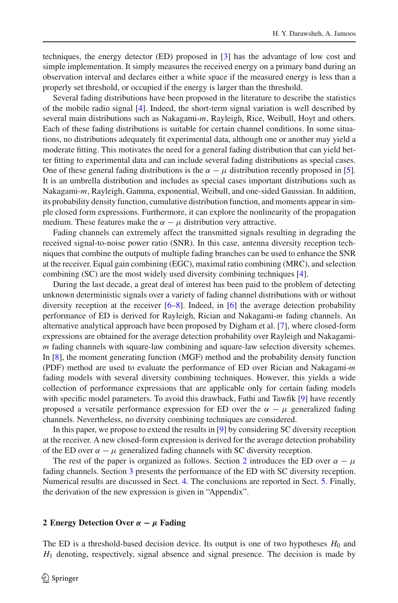techniques, the energy detector (ED) proposed in [\[3\]](#page-9-2) has the advantage of low cost and simple implementation. It simply measures the received energy on a primary band during an observation interval and declares either a white space if the measured energy is less than a properly set threshold, or occupied if the energy is larger than the threshold.

Several fading distributions have been proposed in the literature to describe the statistics of the mobile radio signal [\[4\]](#page-9-3). Indeed, the short-term signal variation is well described by several main distributions such as Nakagami-*m*, Rayleigh, Rice, Weibull, Hoyt and others. Each of these fading distributions is suitable for certain channel conditions. In some situations, no distributions adequately fit experimental data, although one or another may yield a moderate fitting. This motivates the need for a general fading distribution that can yield better fitting to experimental data and can include several fading distributions as special cases. One of these general fading distributions is the  $\alpha - \mu$  distribution recently proposed in [\[5\]](#page-9-4). It is an umbrella distribution and includes as special cases important distributions such as Nakagami-*m*, Rayleigh, Gamma, exponential, Weibull, and one-sided Gaussian. In addition, its probability density function, cumulative distribution function, and moments appear in simple closed form expressions. Furthermore, it can explore the nonlinearity of the propagation medium. These features make the  $\alpha - \mu$  distribution very attractive.

Fading channels can extremely affect the transmitted signals resulting in degrading the received signal-to-noise power ratio (SNR). In this case, antenna diversity reception techniques that combine the outputs of multiple fading branches can be used to enhance the SNR at the receiver. Equal gain combining (EGC), maximal ratio combining (MRC), and selection combining (SC) are the most widely used diversity combining techniques [\[4](#page-9-3)].

During the last decade, a great deal of interest has been paid to the problem of detecting unknown deterministic signals over a variety of fading channel distributions with or without diversity reception at the receiver [\[6](#page-9-5)[–8\]](#page-9-6). Indeed, in [\[6\]](#page-9-5) the average detection probability performance of ED is derived for Rayleigh, Rician and Nakagami-*m* fading channels. An alternative analytical approach have been proposed by Digham et al. [\[7](#page-9-7)], where closed-form expressions are obtained for the average detection probability over Rayleigh and Nakagami*m* fading channels with square-law combining and square-law selection diversity schemes. In [\[8](#page-9-6)], the moment generating function (MGF) method and the probability density function (PDF) method are used to evaluate the performance of ED over Rician and Nakagami-*m* fading models with several diversity combining techniques. However, this yields a wide collection of performance expressions that are applicable only for certain fading models with specific model parameters. To avoid this drawback, Fathi and Tawfik [\[9](#page-9-8)] have recently proposed a versatile performance expression for ED over the  $\alpha - \mu$  generalized fading channels. Nevertheless, no diversity combining techniques are considered.

In this paper, we propose to extend the results in [\[9](#page-9-8)] by considering SC diversity reception at the receiver. A new closed-form expression is derived for the average detection probability of the ED over  $\alpha - \mu$  generalized fading channels with SC diversity reception.

The rest of the paper is organized as follows. Section [2](#page-1-0) introduces the ED over  $\alpha - \mu$ fading channels. Section [3](#page-4-0) presents the performance of the ED with SC diversity reception. Numerical results are discussed in Sect. [4.](#page-6-0) The conclusions are reported in Sect. [5.](#page-8-0) Finally, the derivation of the new expression is given in "Appendix".

#### <span id="page-1-0"></span>**2 Energy Detection Over** *α* **−** *μ* **Fading**

The ED is a threshold-based decision device. Its output is one of two hypotheses  $H_0$  and *H*<sup>1</sup> denoting, respectively, signal absence and signal presence. The decision is made by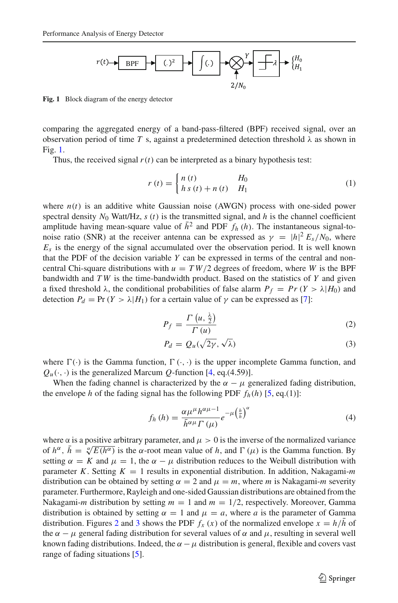

<span id="page-2-0"></span>**Fig. 1** Block diagram of the energy detector

comparing the aggregated energy of a band-pass-filtered (BPF) received signal, over an observation period of time *T* s, against a predetermined detection threshold  $\lambda$  as shown in Fig. [1.](#page-2-0)

Thus, the received signal  $r(t)$  can be interpreted as a binary hypothesis test:

$$
r(t) = \begin{cases} n(t) & H_0 \\ h s(t) + n(t) & H_1 \end{cases}
$$
 (1)

where  $n(t)$  is an additive white Gaussian noise (AWGN) process with one-sided power spectral density  $N_0$  Watt/Hz,  $s(t)$  is the transmitted signal, and  $h$  is the channel coefficient amplitude having mean-square value of  $\bar{h}^2$  and PDF  $f_h(h)$ . The instantaneous signal-tonoise ratio (SNR) at the receiver antenna can be expressed as  $\gamma = |h|^2 E_s/N_0$ , where  $E<sub>s</sub>$  is the energy of the signal accumulated over the observation period. It is well known that the PDF of the decision variable *Y* can be expressed in terms of the central and noncentral Chi-square distributions with  $u = TW/2$  degrees of freedom, where *W* is the BPF bandwidth and *T W* is the time-bandwidth product. Based on the statistics of *Y* and given a fixed threshold  $\lambda$ , the conditional probabilities of false alarm  $P_f = Pr(Y > \lambda | H_0)$  and detection  $P_d = \Pr(Y > \lambda | H_1)$  for a certain value of  $\gamma$  can be expressed as [\[7\]](#page-9-7):

$$
P_f = \frac{\Gamma\left(u, \frac{\lambda}{2}\right)}{\Gamma\left(u\right)}\tag{2}
$$

$$
P_d = Q_u(\sqrt{2\gamma}, \sqrt{\lambda})
$$
 (3)

<span id="page-2-1"></span>where  $\Gamma(\cdot)$  is the Gamma function,  $\Gamma(\cdot, \cdot)$  is the upper incomplete Gamma function, and  $Q_u(\cdot, \cdot)$  is the generalized Marcum *Q*-function [\[4](#page-9-3), eq.(4.59)].

When the fading channel is characterized by the  $\alpha - \mu$  generalized fading distribution, the envelope *h* of the fading signal has the following PDF  $f_h(h)$  [\[5](#page-9-4), eq.(1)]:

$$
f_h(h) = \frac{\alpha \mu^{\mu} h^{\alpha \mu - 1}}{\bar{h}^{\alpha \mu} \Gamma(\mu)} e^{-\mu \left(\frac{h}{\bar{h}}\right)^{\alpha}}
$$
(4)

where  $\alpha$  is a positive arbitrary parameter, and  $\mu > 0$  is the inverse of the normalized variance of  $h^{\alpha}$ ,  $h = \sqrt[\alpha]{E(h^{\alpha})}$  is the  $\alpha$ -root mean value of h, and  $\Gamma(\mu)$  is the Gamma function. By setting  $\alpha = K$  and  $\mu = 1$ , the  $\alpha - \mu$  distribution reduces to the Weibull distribution with parameter *K*. Setting  $K = 1$  results in exponential distribution. In addition, Nakagami-*m* distribution can be obtained by setting  $\alpha = 2$  and  $\mu = m$ , where *m* is Nakagami-*m* severity parameter. Furthermore, Rayleigh and one-sided Gaussian distributions are obtained from the Nakagami-*m* distribution by setting  $m = 1$  and  $m = 1/2$ , respectively. Moreover, Gamma distribution is obtained by setting  $\alpha = 1$  and  $\mu = a$ , where *a* is the parameter of Gamma distribution. Figures [2](#page-3-0) and [3](#page-3-1) shows the PDF  $f_x(x)$  of the normalized envelope  $x = h/h$  of the  $\alpha - \mu$  general fading distribution for several values of  $\alpha$  and  $\mu$ , resulting in several well known fading distributions. Indeed, the  $\alpha - \mu$  distribution is general, flexible and covers vast range of fading situations [\[5\]](#page-9-4).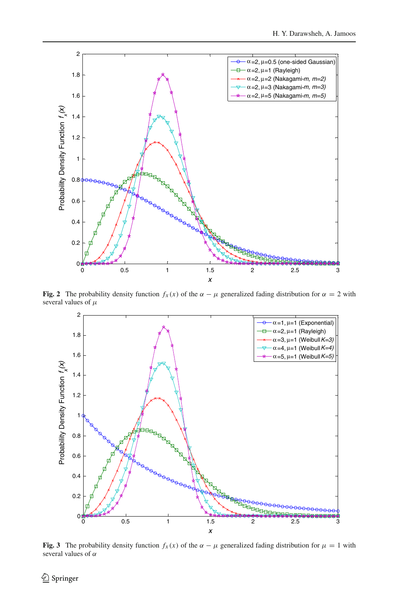

<span id="page-3-0"></span>**Fig. 2** The probability density function  $f_x(x)$  of the  $\alpha - \mu$  generalized fading distribution for  $\alpha = 2$  with several values of  $\mu$ 



<span id="page-3-1"></span>**Fig. 3** The probability density function  $f_x(x)$  of the  $\alpha - \mu$  generalized fading distribution for  $\mu = 1$  with several values of  $\alpha$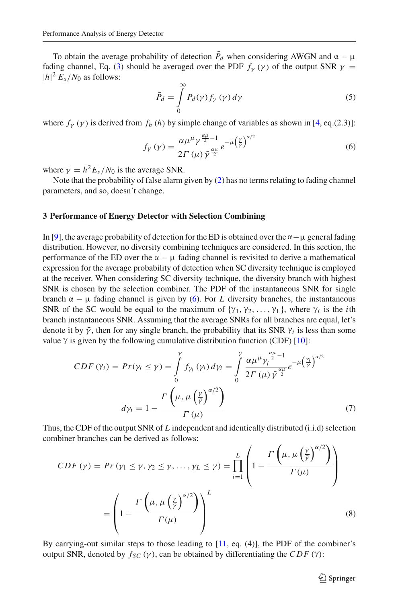To obtain the average probability of detection  $\bar{P}_d$  when considering AWGN and  $\alpha - \mu$ fading channel, Eq. [\(3\)](#page-2-1) should be averaged over the PDF  $f_{\gamma}(\gamma)$  of the output SNR  $\gamma$  =  $|h|^2 E_s/N_0$  as follows:

$$
\bar{P}_d = \int\limits_0^\infty P_d(\gamma) f_\gamma(\gamma) d\gamma \tag{5}
$$

<span id="page-4-1"></span>where  $f_Y(y)$  is derived from  $f_h(h)$  by simple change of variables as shown in [\[4](#page-9-3), eq.(2.3)]:

$$
f_{\gamma}\left(\gamma\right) = \frac{\alpha \mu^{\mu} \gamma^{\frac{\alpha \mu}{2} - 1}}{2\Gamma\left(\mu\right) \bar{\gamma}^{\frac{\alpha \mu}{2}}} e^{-\mu \left(\frac{\gamma}{\bar{\gamma}}\right)^{\alpha/2}} \tag{6}
$$

where  $\bar{\gamma} = \bar{h}^2 E_s / N_0$  is the average SNR.

Note that the probability of false alarm given by [\(2\)](#page-2-1) has no terms relating to fading channel parameters, and so, doesn't change.

#### <span id="page-4-0"></span>**3 Performance of Energy Detector with Selection Combining**

In [\[9\]](#page-9-8), the average probability of detection for the ED is obtained over the  $\alpha - \mu$  general fading distribution. However, no diversity combining techniques are considered. In this section, the performance of the ED over the  $\alpha - \mu$  fading channel is revisited to derive a mathematical expression for the average probability of detection when SC diversity technique is employed at the receiver. When considering SC diversity technique, the diversity branch with highest SNR is chosen by the selection combiner. The PDF of the instantaneous SNR for single branch  $\alpha - \mu$  fading channel is given by [\(6\)](#page-4-1). For *L* diversity branches, the instantaneous SNR of the SC would be equal to the maximum of  $\{\gamma_1, \gamma_2, \dots, \gamma_L\}$ , where  $\gamma_i$  is the *i*th branch instantaneous SNR. Assuming that the average SNRs for all branches are equal, let's denote it by  $\bar{\gamma}$ , then for any single branch, the probability that its SNR  $\gamma_i$  is less than some value  $\gamma$  is given by the following cumulative distribution function (CDF) [\[10](#page-9-9)]:

$$
CDF(Y_i) = Pr(Y_i \leq \gamma) = \int_{0}^{\gamma} f_{\gamma_i}(y_i) dy_i = \int_{0}^{\gamma} \frac{\alpha \mu^{\mu} \gamma_i^{\frac{\alpha \mu}{2} - 1}}{2\Gamma(\mu) \bar{\gamma}^{\frac{\alpha \mu}{2}}} e^{-\mu \left(\frac{\gamma_i}{\gamma}\right)^{\alpha/2}}
$$

$$
dy_i = 1 - \frac{\Gamma\left(\mu, \mu\left(\frac{\gamma}{\gamma}\right)^{\alpha/2}\right)}{\Gamma(\mu)}
$$
(7)

Thus, the CDF of the output SNR of *L* independent and identically distributed (i.i.d) selection combiner branches can be derived as follows:

$$
CDF(\gamma) = Pr(\gamma_1 \le \gamma, \gamma_2 \le \gamma, ..., \gamma_L \le \gamma) = \prod_{i=1}^{L} \left( 1 - \frac{\Gamma\left(\mu, \mu\left(\frac{\gamma}{\overline{\gamma}}\right)^{\alpha/2}\right)}{\Gamma(\mu)} \right)
$$

$$
= \left( 1 - \frac{\Gamma\left(\mu, \mu\left(\frac{\gamma}{\overline{\gamma}}\right)^{\alpha/2}\right)}{\Gamma(\mu)} \right)^L
$$
(8)

By carrying-out similar steps to those leading to [\[11](#page-9-10), eq. (4)], the PDF of the combiner's output SNR, denoted by  $f_{SC}$  (γ), can be obtained by differentiating the *CDF* (γ):

 $\hat{\mathfrak{D}}$  Springer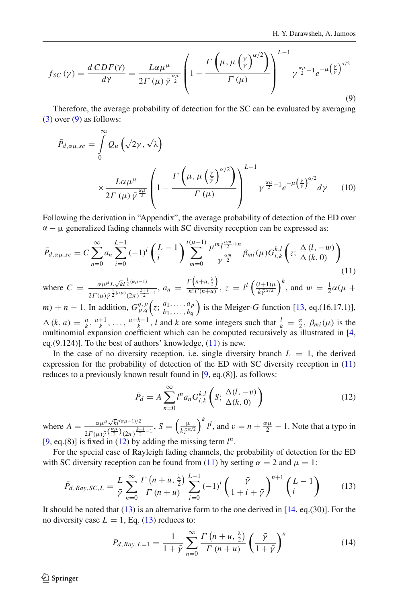<span id="page-5-0"></span>
$$
f_{SC}(\gamma) = \frac{d\,CDF(\gamma)}{d\gamma} = \frac{L\alpha\mu^{\mu}}{2\,\Gamma\left(\mu\right)\bar{\gamma}^{\frac{\alpha\mu}{2}}} \left(1 - \frac{\Gamma\left(\mu, \mu\left(\frac{\gamma}{\bar{\gamma}}\right)^{\alpha/2}\right)}{\Gamma\left(\mu\right)}\right)^{L-1} \gamma^{\frac{\alpha\mu}{2}-1} e^{-\mu\left(\frac{\gamma}{\bar{\gamma}}\right)^{\alpha/2}} \tag{9}
$$

<span id="page-5-4"></span>Therefore, the average probability of detection for the SC can be evaluated by averaging  $(3)$  over  $(9)$  as follows:

$$
\bar{P}_{d,\alpha\mu,sc} = \int_{0}^{\infty} Q_{u} \left( \sqrt{2\gamma}, \sqrt{\lambda} \right)
$$
\n
$$
\times \frac{L\alpha\mu^{\mu}}{2\Gamma(\mu)\bar{\gamma}^{\frac{\alpha\mu}{2}}} \left( 1 - \frac{\Gamma\left(\mu, \mu\left(\frac{\gamma}{\bar{\gamma}}\right)^{\alpha/2}\right)}{\Gamma(\mu)} \right)^{L-1} \gamma^{\frac{\alpha\mu}{2}-1} e^{-\mu\left(\frac{\gamma}{\bar{\gamma}}\right)^{\alpha/2}} d\gamma \tag{10}
$$

Following the derivation in "Appendix", the average probability of detection of the ED over  $\alpha - \mu$  generalized fading channels with SC diversity reception can be expressed as:

<span id="page-5-1"></span>
$$
\bar{P}_{d,\alpha\mu,sc} = C \sum_{n=0}^{\infty} a_n \sum_{i=0}^{L-1} (-1)^i \left(\frac{L-1}{i}\right) \sum_{m=0}^{i(\mu-1)} \frac{\mu^m l^{\frac{\alpha m}{2}+n}}{\bar{\gamma}^{\frac{\alpha m}{2}}} \beta_{mi}(\mu) G_{l,k}^{k,l} \left(z; \frac{\Delta (l,-w)}{\Delta (k,0)}\right)
$$
\n(11)

where  $C = \frac{\alpha \mu^{\mu} L \sqrt{kl}^{\frac{1}{2}(\alpha \mu - 1)}}{1 - \frac{k+1}{2}}$  $\frac{\alpha \mu^{\mu} L \sqrt{k} l^{\frac{1}{2}(\alpha \mu - 1)}}{2 \Gamma(\mu) \bar{\gamma}^{\frac{1}{2}(\alpha \mu)} (2\pi)^{\frac{k+1}{2}-1}}$ ,  $a_n = \frac{\Gamma(n+u, \frac{\lambda}{2})}{n! \Gamma(n+u)}, z = l^l \left( \frac{(i+1)\mu}{k \bar{\gamma}^{\alpha/2}} \right)^k$ , and  $w = \frac{1}{2} \alpha (\mu + \frac{\lambda}{2})$ 

*m*) + *n* − 1. In addition,  $G_{p,q}^{q,p} (z; \frac{a_1, \ldots, a_p}{b_1, \ldots, b_q})$ ) is the Meiger- $G$  function  $[13, eq. (16.17.1)],$  $[13, eq. (16.17.1)],$  $\Delta(k, a) = \frac{a}{k}, \frac{a+1}{k}, \ldots, \frac{a+k-1}{k}, l$  and *k* are some integers such that  $\frac{l}{k} = \frac{\alpha}{2}, \beta_{mi}(\mu)$  is the multinomial expansion coefficient which can be computed recursively as illustrated in [\[4,](#page-9-3) eq. $(9.124)$ ]. To the best of authors' knowledge,  $(11)$  is new.

In the case of no diversity reception, i.e. single diversity branch  $L = 1$ , the derived expression for the probability of detection of the ED with SC diversity reception in [\(11\)](#page-5-1) reduces to a previously known result found in [\[9](#page-9-8), eq.(8)], as follows:

$$
\bar{P}_d = A \sum_{n=0}^{\infty} l^n a_n G_{l,k}^{k,l} \left( S; \frac{\Delta(l, -v)}{\Delta(k, 0)} \right)
$$
(12)

<span id="page-5-2"></span>where  $A = \frac{\alpha \mu^{\mu} \sqrt{k} l^{(\alpha \mu - 1)/2}}{2 \Gamma(\mu) \bar{\gamma} (\frac{\alpha \mu}{2}) (2\pi)^{\frac{k+1}{2}-1}}$ ,  $S = \left(\frac{\mu}{k \bar{\gamma}^{\alpha/2}}\right)^k l^l$ , and  $v = n + \frac{\alpha \mu}{2} - 1$ . Note that a typo in [\[9](#page-9-8), eq.(8)] is fixed in [\(12\)](#page-5-2) by adding the missing term  $l^n$ .

For the special case of Rayleigh fading channels, the probability of detection for the ED with SC diversity reception can be found from [\(11\)](#page-5-1) by setting  $\alpha = 2$  and  $\mu = 1$ :

$$
\bar{P}_{d,Ray,SC,L} = \frac{L}{\bar{\gamma}} \sum_{n=0}^{\infty} \frac{\Gamma(n+u, \frac{\lambda}{2})}{\Gamma(n+u)} \sum_{i=0}^{L-1} (-1)^i \left(\frac{\bar{\gamma}}{1+i+\bar{\gamma}}\right)^{n+1} \binom{L-1}{i} \tag{13}
$$

<span id="page-5-3"></span>It should be noted that  $(13)$  is an alternative form to the one derived in  $[14, eq.(30)]$  $[14, eq.(30)]$ . For the no diversity case  $L = 1$ , Eq. [\(13\)](#page-5-3) reduces to:

$$
\bar{P}_{d,Ray,L=1} = \frac{1}{1+\bar{\gamma}} \sum_{n=0}^{\infty} \frac{\Gamma\left(n+u,\frac{\lambda}{2}\right)}{\Gamma\left(n+u\right)} \left(\frac{\bar{\gamma}}{1+\bar{\gamma}}\right)^n \tag{14}
$$

 $\circledcirc$  Springer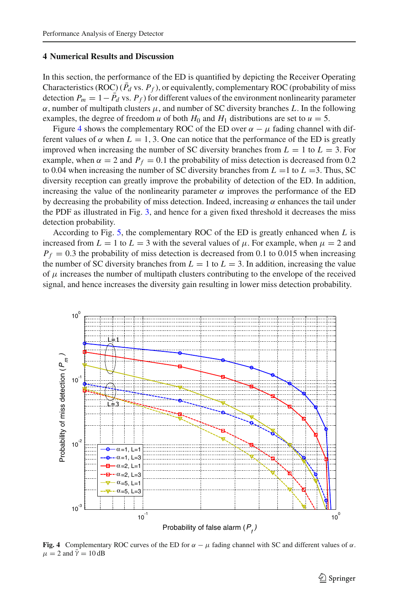### <span id="page-6-0"></span>**4 Numerical Results and Discussion**

In this section, the performance of the ED is quantified by depicting the Receiver Operating Characteristics (ROC) ( $\bar{P}_d$  vs.  $P_f$ ), or equivalently, complementary ROC (probability of miss detection  $P_m = 1 - \bar{P}_d$  vs.  $P_f$ ) for different values of the environment nonlinearity parameter  $\alpha$ , number of multipath clusters  $\mu$ , and number of SC diversity branches *L*. In the following examples, the degree of freedom *u* of both  $H_0$  and  $H_1$  distributions are set to  $u = 5$ .

Figure [4](#page-6-1) shows the complementary ROC of the ED over  $\alpha - \mu$  fading channel with different values of  $\alpha$  when  $L = 1, 3$ . One can notice that the performance of the ED is greatly improved when increasing the number of SC diversity branches from  $L = 1$  to  $L = 3$ . For example, when  $\alpha = 2$  and  $P_f = 0.1$  the probability of miss detection is decreased from 0.2 to 0.04 when increasing the number of SC diversity branches from  $L = 1$  to  $L = 3$ . Thus, SC diversity reception can greatly improve the probability of detection of the ED. In addition, increasing the value of the nonlinearity parameter  $\alpha$  improves the performance of the ED by decreasing the probability of miss detection. Indeed, increasing  $\alpha$  enhances the tail under the PDF as illustrated in Fig. [3,](#page-3-1) and hence for a given fixed threshold it decreases the miss detection probability.

According to Fig. [5,](#page-7-0) the complementary ROC of the ED is greatly enhanced when *L* is increased from  $L = 1$  to  $L = 3$  with the several values of  $\mu$ . For example, when  $\mu = 2$  and  $P_f = 0.3$  the probability of miss detection is decreased from 0.1 to 0.015 when increasing the number of SC diversity branches from  $L = 1$  to  $L = 3$ . In addition, increasing the value of  $\mu$  increases the number of multipath clusters contributing to the envelope of the received signal, and hence increases the diversity gain resulting in lower miss detection probability.



<span id="page-6-1"></span>**Fig. 4** Complementary ROC curves of the ED for  $\alpha - \mu$  fading channel with SC and different values of  $\alpha$ .  $\mu = 2$  and  $\bar{\gamma} = 10$  dB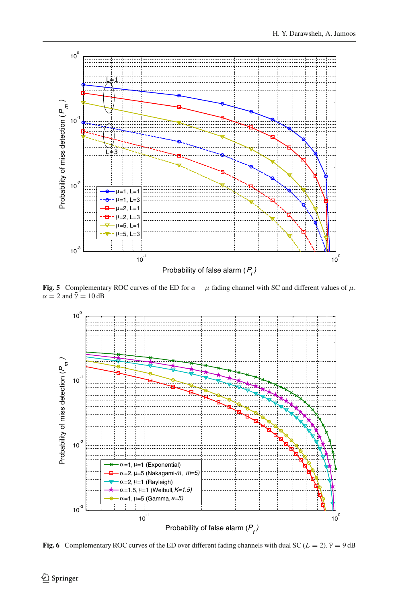

<span id="page-7-0"></span>**Fig. 5** Complementary ROC curves of the ED for  $\alpha - \mu$  fading channel with SC and different values of  $\mu$ .  $\alpha = 2$  and  $\bar{\gamma} = 10$  dB



<span id="page-7-1"></span>**Fig. 6** Complementary ROC curves of the ED over different fading channels with dual SC ( $L = 2$ ).  $\bar{\gamma} = 9$  dB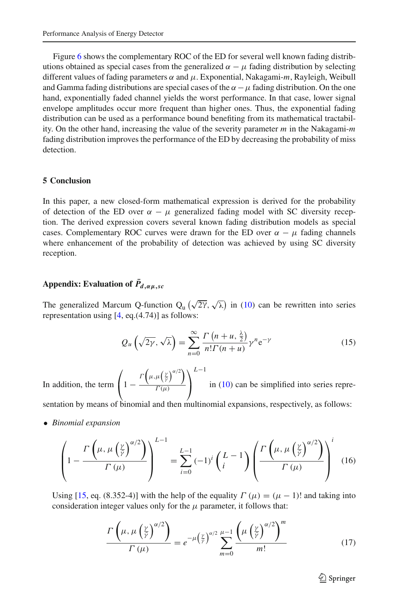Figure [6](#page-7-1) shows the complementary ROC of the ED for several well known fading distributions obtained as special cases from the generalized  $\alpha - \mu$  fading distribution by selecting different values of fading parameters α and μ. Exponential, Nakagami-*m*, Rayleigh, Weibull and Gamma fading distributions are special cases of the  $\alpha - \mu$  fading distribution. On the one hand, exponentially faded channel yields the worst performance. In that case, lower signal envelope amplitudes occur more frequent than higher ones. Thus, the exponential fading distribution can be used as a performance bound benefiting from its mathematical tractability. On the other hand, increasing the value of the severity parameter *m* in the Nakagami-*m* fading distribution improves the performance of the ED by decreasing the probability of miss detection.

## <span id="page-8-0"></span>**5 Conclusion**

In this paper, a new closed-form mathematical expression is derived for the probability of detection of the ED over  $\alpha - \mu$  generalized fading model with SC diversity reception. The derived expression covers several known fading distribution models as special cases. Complementary ROC curves were drawn for the ED over  $\alpha - \mu$  fading channels where enhancement of the probability of detection was achieved by using SC diversity reception.

## $\boldsymbol{X} = \boldsymbol{X} \boldsymbol{Y}$  **Appendix: Evaluation of**  $\boldsymbol{P}_{d,\alpha\mu,sc}$

The generalized Marcum Q-function  $Q_u(\sqrt{2\gamma}, \sqrt{\lambda})$  in [\(10\)](#page-5-4) can be rewritten into series representation using [\[4,](#page-9-3) eq.(4.74)] as follows:

$$
Q_u\left(\sqrt{2\gamma},\sqrt{\lambda}\right) = \sum_{n=0}^{\infty} \frac{\Gamma\left(n+u,\frac{\lambda}{2}\right)}{n!\Gamma(n+u)} \gamma^n e^{-\gamma}
$$
(15)

<span id="page-8-2"></span>In addition, the term  $\sqrt{2}$  $\left(1-\frac{\Gamma\left(\mu,\mu\left(\frac{\gamma}{\bar{\gamma}}\right)^{\alpha/2}\right)}{\Gamma(\mu)}\right)$  $\Gamma(\mu)$ ⎞ ⎠ *L*−1 in [\(10\)](#page-5-4) can be simplified into series repre-

sentation by means of binomial and then multinomial expansions, respectively, as follows:

<span id="page-8-1"></span>• *Binomial expansion*

$$
\left(1 - \frac{\Gamma\left(\mu, \mu\left(\frac{\gamma}{\tilde{\gamma}}\right)^{\alpha/2}\right)}{\Gamma\left(\mu\right)}\right)^{L-1} = \sum_{i=0}^{L-1} (-1)^i \left(\frac{L-1}{i}\right) \left(\frac{\Gamma\left(\mu, \mu\left(\frac{\gamma}{\tilde{\gamma}}\right)^{\alpha/2}\right)}{\Gamma\left(\mu\right)}\right)^i \tag{16}
$$

Using [\[15](#page-10-0), eq. (8.352-4)] with the help of the equality  $\Gamma(\mu) = (\mu - 1)!$  and taking into consideration integer values only for the  $\mu$  parameter, it follows that:

$$
\frac{\Gamma\left(\mu,\mu\left(\frac{\gamma}{\tilde{r}}\right)^{\alpha/2}\right)}{\Gamma\left(\mu\right)} = e^{-\mu\left(\frac{\gamma}{\tilde{r}}\right)^{\alpha/2}} \sum_{m=0}^{\mu-1} \frac{\left(\mu\left(\frac{\gamma}{\tilde{r}}\right)^{\alpha/2}\right)^m}{m!}
$$
(17)

 $\circled{2}$  Springer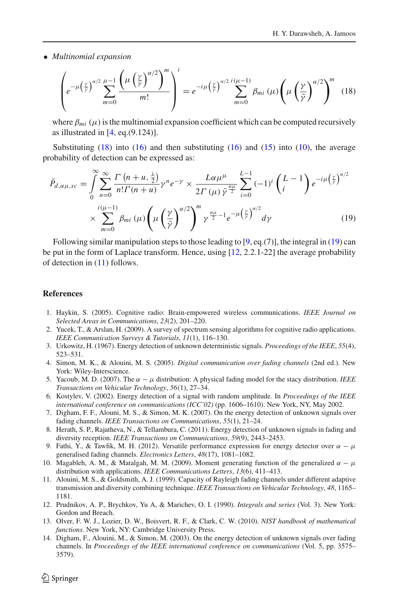<span id="page-9-13"></span>• *Multinomial expansion*

$$
\left(e^{-\mu\left(\frac{\gamma}{\bar{\gamma}}\right)^{\alpha/2}}\sum_{m=0}^{\mu-1}\frac{\left(\mu\left(\frac{\gamma}{\bar{\gamma}}\right)^{\alpha/2}\right)^m}{m!}\right)^i=e^{-i\mu\left(\frac{\gamma}{\bar{\gamma}}\right)^{\alpha/2}}\sum_{m=0}^{i(\mu-1)}\beta_{mi}\left(\mu\right)\left(\mu\left(\frac{\gamma}{\bar{\gamma}}\right)^{\alpha/2}\right)^m\tag{18}
$$

where  $\beta_{mi}$  ( $\mu$ ) is the multinomial expansion coefficient which can be computed recursively as illustrated in  $[4, eq. (9.124)]$  $[4, eq. (9.124)]$ .

Substituting  $(18)$  into  $(16)$  and then substituting  $(16)$  and  $(15)$  into  $(10)$ , the average probability of detection can be expressed as:

<span id="page-9-14"></span>
$$
\bar{P}_{d,\alpha\mu,sc} = \int_{0}^{\infty} \sum_{n=0}^{\infty} \frac{\Gamma\left(n+u,\frac{\lambda}{2}\right)}{n!\Gamma(n+u)} \gamma^{n} e^{-\gamma} \times \frac{L\alpha\mu^{\mu}}{2\Gamma\left(\mu\right) \bar{\gamma}^{\frac{\alpha\mu}{2}}} \sum_{i=0}^{L-1} (-1)^{i} \binom{L-1}{i} e^{-i\mu \left(\frac{\gamma}{\gamma}\right)^{\alpha/2}} \\ \times \sum_{m=0}^{i(\mu-1)} \beta_{mi} \left(\mu\left(\frac{\gamma}{\bar{\gamma}}\right)^{\alpha/2}\right)^{m} \gamma^{\frac{\alpha\mu}{2}-1} e^{-\mu \left(\frac{\gamma}{\bar{\gamma}}\right)^{\alpha/2}} d\gamma \tag{19}
$$

Following similar manipulation steps to those leading to  $[9, eq. (7)]$  $[9, eq. (7)]$ , the integral in  $(19)$  can be put in the form of Laplace transform. Hence, using [\[12,](#page-9-15) 2.2.1-22] the average probability of detection in [\(11\)](#page-5-1) follows.

#### <span id="page-9-0"></span>**References**

- 1. Haykin, S. (2005). Cognitive radio: Brain-empowered wireless communications. *IEEE Journal on Selected Areas in Communications*, *23*(2), 201–220.
- <span id="page-9-1"></span>2. Yucek, T., & Arslan, H. (2009). A survey of spectrum sensing algorithms for cognitive radio applications. *IEEE Communication Surveys & Tutorials*, *11*(1), 116–130.
- <span id="page-9-2"></span>3. Urkowitz, H. (1967). Energy detection of unknown deterministic signals. *Proceedings of the IEEE*, *55*(4), 523–531.
- <span id="page-9-3"></span>4. Simon, M. K., & Alouini, M. S. (2005). *Digital communication over fading channels* (2nd ed.). New York: Wiley-Interscience.
- <span id="page-9-4"></span>5. Yacoub, M. D. (2007). The  $\alpha - \mu$  distribution: A physical fading model for the stacy distribution. *IEEE Transactions on Vehicular Technology*, *56*(1), 27–34.
- <span id="page-9-5"></span>6. Kostylev, V. (2002). Energy detection of a signal with random amplitude. In *Proceedings of the IEEE international conference on communications (ICC'02)* (pp. 1606–1610). New York, NY, May 2002.
- <span id="page-9-7"></span>7. Digham, F. F., Alouni, M. S., & Simon, M. K. (2007). On the energy detection of unknown signals over fading channels. *IEEE Transactions on Communications*, *55*(1), 21–24.
- <span id="page-9-6"></span>8. Herath, S. P., Rajatheva, N., & Tellambura, C. (2011). Energy detection of unknown signals in fading and diversity reception. *IEEE Transactions on Communications*, *59*(9), 2443–2453.
- <span id="page-9-8"></span>9. Fathi, Y., & Tawfik, M. H. (2012). Versatile performance expression for energy detector over  $\alpha - \mu$ generalised fading channels. *Electronics Letters*, *48*(17), 1081–1082.
- <span id="page-9-9"></span>10. Magableh, A. M., & Matalgah, M. M. (2009). Moment generating function of the generalized  $\alpha - \mu$ distribution with applications. *IEEE Communications Letters*, *13*(6), 411–413.
- <span id="page-9-10"></span>11. Alouini, M. S., & Goldsmith, A. J. (1999). Capacity of Rayleigh fading channels under different adaptive transmission and diversity combining technique. *IEEE Transactions on Vehicular Technology*, *48*, 1165– 1181.
- <span id="page-9-15"></span>12. Prudnikov, A. P., Brychkov, Yu A, & Marichev, O. I. (1990). *Integrals and series* (Vol. 3). New York: Gordon and Breach.
- <span id="page-9-11"></span>13. Olver, F. W. J., Lozier, D. W., Boisvert, R. F., & Clark, C. W. (2010). *NIST handbook of mathematical functions*. New York, NY: Cambridge University Press.
- <span id="page-9-12"></span>14. Digham, F., Alouini, M., & Simon, M. (2003). On the energy detection of unknown signals over fading channels. In *Proceedings of the IEEE international conference on communications* (Vol. 5, pp. 3575– 3579).